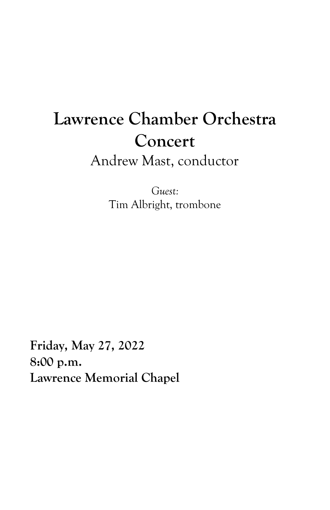# **Lawrence Chamber Orchestra Concert** Andrew Mast, conductor

*Guest:* Tim Albright, trombone

**Friday, May 27, 2022 8:00 p.m. Lawrence Memorial Chapel**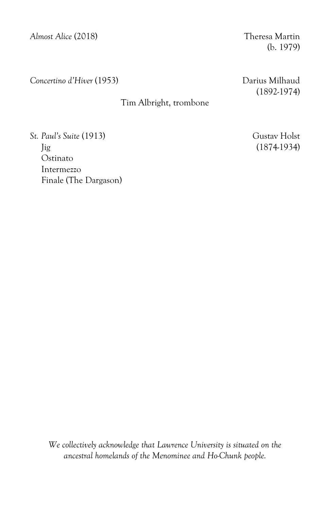*Almost Alice* (2018) Theresa Martin

(b. 1979)

*Concertino d'Hiver* (1953) Darius Milhaud

# Tim Albright, trombone

(1892-1974)

*St. Paul's Suite* (1913) Gustav Holst Jig (1874-1934) Ostinato Intermezzo Finale (The Dargason)

*We collectively acknowledge that Lawrence University is situated on the ancestral homelands of the Menominee and Ho-Chunk people.*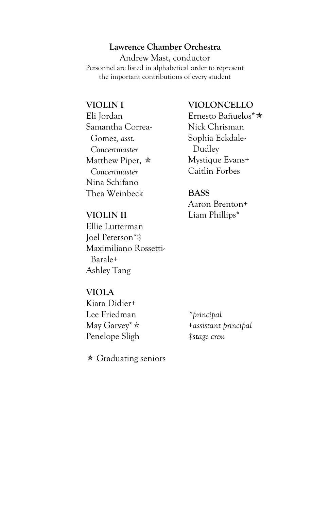## **Lawrence Chamber Orchestra**

Andrew Mast, conductor Personnel are listed in alphabetical order to represent the important contributions of every student

# **VIOLIN I**

Eli Jordan Samantha Correa- Gomez*, asst. Concertmaster* Matthew Piper,  $*$  *Concertmaster* Nina Schifano Thea Weinbeck

## **VIOLIN II**

Ellie Lutterman Joel Peterson\*‡ Maximiliano Rossetti- Barale+ Ashley Tang

# **VIOLONCELLO**

Ernesto Bañuelos\* Nick Chrisman Sophia Eckdale- Dudley Mystique Evans+ Caitlin Forbes

### **BASS**

Aaron Brenton+ Liam Phillips\*

#### **VIOLA**

Kiara Didier+ Lee Friedman May Garvey\* Penelope Sligh

*\*principal +assistant principal ‡stage crew*

 $\star$  Graduating seniors